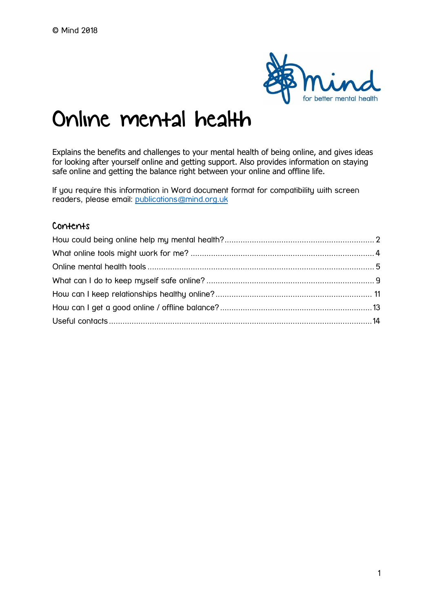

# Online mental health

Explains the benefits and challenges to your mental health of being online, and gives ideas for looking after yourself online and getting support. Also provides information on staying safe online and getting the balance right between your online and offline life.

If you require this information in Word document format for compatibility with screen readers, please email: [publications@mind.org.uk](mailto:publications@mind.org.uk)

#### Contents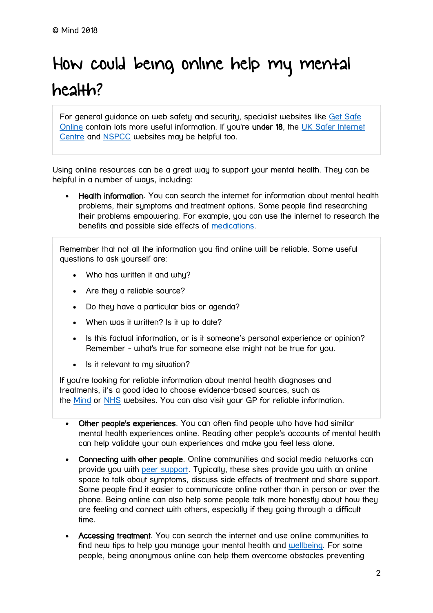# <span id="page-1-0"></span>How could being online help my mental health?

For general guidance on web safety and security, specialist websites like [Get Safe](https://www.getsafeonline.org/)  [Online](https://www.getsafeonline.org/) contain lots more useful information. If you're under 18, the [UK Safer Internet](https://www.saferinternet.org.uk/)  [Centre](https://www.saferinternet.org.uk/) and [NSPCC](https://www.nspcc.org.uk/preventing-abuse/keeping-children-safe/online-safety/) websites may be helpful too.

Using online resources can be a great way to support your mental health. They can be helpful in a number of ways, including:

 Health information. You can search the internet for information about mental health problems, their symptoms and treatment options. Some people find researching their problems empowering. For example, you can use the internet to research the benefits and possible side effects of [medications.](https://www.mind.org.uk/information-support/drugs-and-treatments/medication/about-medication/)

Remember that not all the information you find online will be reliable. Some useful questions to ask yourself are:

- Who has written it and why?
- Are they a reliable source?
- Do they have a particular bias or agenda?
- When was it written? Is it up to date?
- Is this factual information, or is it someone's personal experience or opinion? Remember - what's true for someone else might not be true for you.
- Is it relevant to my situation?

If you're looking for reliable information about mental health diagnoses and treatments, it's a good idea to choose evidence-based sources, such as the [Mind](https://www.mind.org.uk/) or [NHS](http://www.nhs.uk/) websites. You can also visit your GP for reliable information.

- Other people's experiences. You can often find people who have had similar mental health experiences online. Reading other people's accounts of mental health can help validate your own experiences and make you feel less alone.
- Connecting with other people. Online communities and social media networks can provide you with [peer support.](https://www.mind.org.uk/information-support/drugs-and-treatments/peer-support/) Typically, these sites provide you with an online space to talk about symptoms, discuss side effects of treatment and share support. Some people find it easier to communicate online rather than in person or over the phone. Being online can also help some people talk more honestly about how they are feeling and connect with others, especially if they going through a difficult time.
- Accessing treatment. You can search the internet and use online communities to find new tips to help you manage your mental health and [wellbeing.](https://www.mind.org.uk/information-support/tips-for-everyday-living/wellbeing/) For some people, being anonymous online can help them overcome obstacles preventing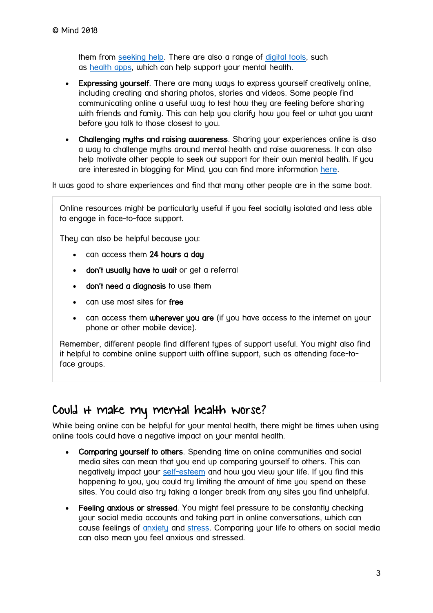them from [seeking help.](https://www.mind.org.uk/information-support/guides-to-support-and-services/seeking-help-for-a-mental-health-problem/) There are also a range of [digital tools,](https://www.mind.org.uk/information-support/tips-for-everyday-living/online-mental-health/online-mental-health-tools/) such as [health](https://www.mind.org.uk/information-support/tips-for-everyday-living/online-mental-health/online-mental-health-tools/#apps) apps, which can help support your mental health.

- Expressing yourself. There are many ways to express yourself creatively online, including creating and sharing photos, stories and videos. Some people find communicating online a useful way to test how they are feeling before sharing with friends and family. This can help you clarify how you feel or what you want before you talk to those closest to you.
- Challenging myths and raising awareness. Sharing your experiences online is also a way to challenge myths around mental health and raise awareness. It can also help motivate other people to seek out support for their own mental health. If you are interested in blogging for Mind, you can find more information [here.](https://www.mind.org.uk/information-support/your-stories/about-the-mind-blog/blog-for-mind/)

It was good to share experiences and find that many other people are in the same boat.

Online resources might be particularly useful if you feel socially isolated and less able to engage in face-to-face support.

They can also be helpful because you:

- can access them 24 hours a day
- don't usually have to wait or get a referral
- don't need a diagnosis to use them
- can use most sites for free
- can access them wherever you are (if you have access to the internet on your phone or other mobile device).

Remember, different people find different types of support useful. You might also find it helpful to combine online support with offline support, such as attending face-toface groups.

## Could it make my mental health worse?

While being online can be helpful for your mental health, there might be times when using online tools could have a negative impact on your mental health.

- Comparing yourself to others. Spending time on online communities and social media sites can mean that you end up comparing yourself to others. This can negatively impact your [self-esteem](https://www.mind.org.uk/information-support/types-of-mental-health-problems/self-esteem/) and how you view your life. If you find this happening to you, you could try limiting the amount of time you spend on these sites. You could also try taking a longer break from any sites you find unhelpful.
- Feeling anxious or stressed. You might feel pressure to be constantly checking your social media accounts and taking part in online conversations, which can cause feelings of [anxiety](https://www.mind.org.uk/information-support/types-of-mental-health-problems/anxiety-and-panic-attacks/) and [stress.](https://www.mind.org.uk/information-support/types-of-mental-health-problems/stress/) Comparing your life to others on social media can also mean you feel anxious and stressed.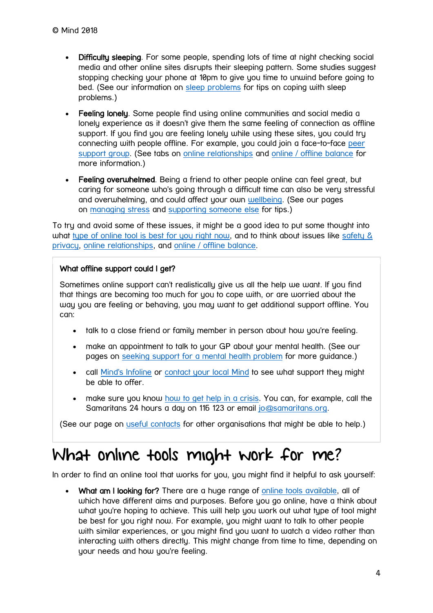- Difficulty sleeping. For some people, spending lots of time at night checking social media and other online sites disrupts their sleeping pattern. Some studies suggest stopping checking your phone at 10pm to give you time to unwind before going to bed. (See our information on [sleep problems](https://www.mind.org.uk/information-support/types-of-mental-health-problems/sleep-problems/) for tips on coping with sleep problems.)
- Feeling lonely. Some people find using online communities and social media a lonely experience as it doesn't give them the same feeling of connection as offline support. If you find you are feeling lonely while using these sites, you could try connecting with people offline. For example, you could join a face-to-face [peer](https://www.mind.org.uk/information-support/guides-to-support-and-services/peer-support-directory/)  [support group.](https://www.mind.org.uk/information-support/guides-to-support-and-services/peer-support-directory/) (See tabs on [online relationships](https://www.mind.org.uk/information-support/tips-for-everyday-living/online-mental-health/online-relationships/) and online / [offline balance](https://www.mind.org.uk/information-support/tips-for-everyday-living/online-mental-health/online-offline-balance/) for more information.)
- Feeling overwhelmed. Being a friend to other people online can feel great, but caring for someone who's going through a difficult time can also be very stressful and overwhelming, and could affect your own [wellbeing.](https://www.mind.org.uk/information-support/tips-for-everyday-living/wellbeing/) (See our pages on [managing stress](https://www.mind.org.uk/information-support/types-of-mental-health-problems/stress/) and [supporting someone else](https://www.mind.org.uk/information-support/helping-someone-else/carers-friends-family-coping-support/supporting-someone-with-a-mental-health-problem/) for tips.)

To try and avoid some of these issues, it might be a good idea to put some thought into what [type of online tool is best for you right now,](https://www.mind.org.uk/information-support/tips-for-everyday-living/online-mental-health/online-mental-health-tools/) and to think about issues like safety & [privacy,](https://www.mind.org.uk/information-support/tips-for-everyday-living/online-mental-health/safety-privacy/) [online relationships,](https://www.mind.org.uk/information-support/tips-for-everyday-living/online-mental-health/online-relationships/) and [online / offline balance.](https://www.mind.org.uk/information-support/tips-for-everyday-living/online-mental-health/online-offline-balance/)

#### What offline support could I get?

Sometimes online support can't realistically give us all the help we want. If you find that things are becoming too much for you to cope with, or are worried about the way you are feeling or behaving, you may want to get additional support offline. You can:

- talk to a close friend or family member in person about how you're feeling.
- make an appointment to talk to your GP about your mental health. (See our pages on [seeking support for a mental health problem](https://www.mind.org.uk/information-support/guides-to-support-and-services/seeking-help-for-a-mental-health-problem/) for more guidance.)
- call [Mind's Infoline](https://www.mind.org.uk/information-support/helplines/) or [contact your local Mind](https://www.mind.org.uk/information-support/local-minds/) to see what support they might be able to offer.
- make sure you know [how to get help in a crisis.](https://www.mind.org.uk/information-support/guides-to-support-and-services/crisis-services/) You can, for example, call the Samaritans 24 hours a day on 116 123 or email [jo@samaritans.org.](mailto:jo@samaritans.org)

(See our page on [useful contacts](https://www.mind.org.uk/information-support/tips-for-everyday-living/online-mental-health/useful-contacts/) for other organisations that might be able to help.)

## <span id="page-3-0"></span>What online tools might work for me?

In order to find an online tool that works for you, you might find it helpful to ask yourself:

• What am I looking for? There are a huge range of [online tools available,](https://www.mind.org.uk/information-support/tips-for-everyday-living/online-mental-health/online-mental-health-tools/) all of which have different aims and purposes. Before you go online, have a think about what you're hoping to achieve. This will help you work out what type of tool might be best for you right now. For example, you might want to talk to other people with similar experiences, or you might find you want to watch a video rather than interacting with others directly. This might change from time to time, depending on your needs and how you're feeling.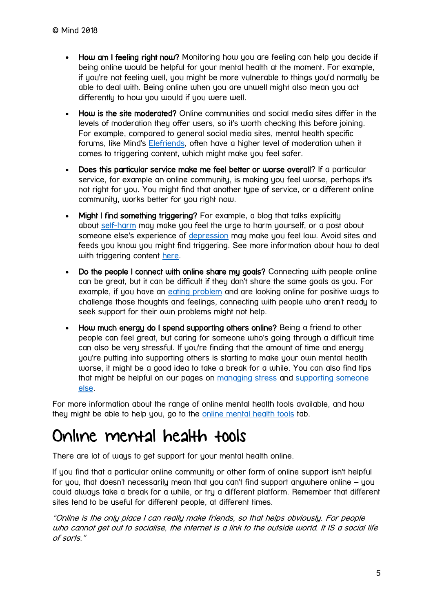- How am I feeling right now? Monitoring how you are feeling can help you decide if being online would be helpful for your mental health at the moment. For example, if you're not feeling well, you might be more vulnerable to things you'd normally be able to deal with. Being online when you are unwell might also mean you act differently to how you would if you were well.
- How is the site moderated? Online communities and social media sites differ in the levels of moderation they offer users, so it's worth checking this before joining. For example, compared to general social media sites, mental health specific forums, like Mind's [Elefriends,](https://www.elefriends.org.uk/) often have a higher level of moderation when it comes to triggering content, which might make you feel safer.
- Does this particular service make me feel better or worse overall? If a particular service, for example an online community, is making you feel worse, perhaps it's not right for you. You might find that another type of service, or a different online community, works better for you right now.
- Might I find something triggering? For example, a blog that talks explicitly about [self-harm](https://www.mind.org.uk/information-support/types-of-mental-health-problems/self-harm/) may make you feel the urge to harm yourself, or a post about someone else's experience of [depression](https://www.mind.org.uk/information-support/types-of-mental-health-problems/depression/) may make you feel low. Avoid sites and feeds you know you might find triggering. See more information about how to deal with triggering content [here.](https://www.mind.org.uk/information-support/tips-for-everyday-living/online-mental-health/safety-privacy/)
- Do the people I connect with online share my goals? Connecting with people online can be great, but it can be difficult if they don't share the same goals as you. For example, if you have an [eating problem](https://www.mind.org.uk/information-support/types-of-mental-health-problems/eating-problems/) and are looking online for positive ways to challenge those thoughts and feelings, connecting with people who aren't ready to seek support for their own problems might not help.
- How much energy do I spend supporting others online? Being a friend to other people can feel great, but caring for someone who's going through a difficult time can also be very stressful. If you're finding that the amount of time and energy you're putting into supporting others is starting to make your own mental health worse, it might be a good idea to take a break for a while. You can also find tips that might be helpful on our pages on [managing stress](https://www.mind.org.uk/information-support/types-of-mental-health-problems/stress/) and [supporting someone](https://www.mind.org.uk/information-support/helping-someone-else/supporting-someone-else-to-seek-help/)  [else.](https://www.mind.org.uk/information-support/helping-someone-else/supporting-someone-else-to-seek-help/)

For more information about the range of online mental health tools available, and how they might be able to help you, go to the [online mental health tools](https://www.mind.org.uk/information-support/tips-for-everyday-living/online-mental-health/online-mental-health-tools/) tab.

## <span id="page-4-0"></span>Online mental health tools

There are lot of ways to get support for your mental health online.

If you find that a particular online community or other form of online support isn't helpful for you, that doesn't necessarily mean that you can't find support anywhere online – you could always take a break for a while, or try a different platform. Remember that different sites tend to be useful for different people, at different times.

"Online is the only place I can really make friends, so that helps obviously. For people who cannot get out to socialise, the internet is a link to the outside world. It IS a social life of sorts."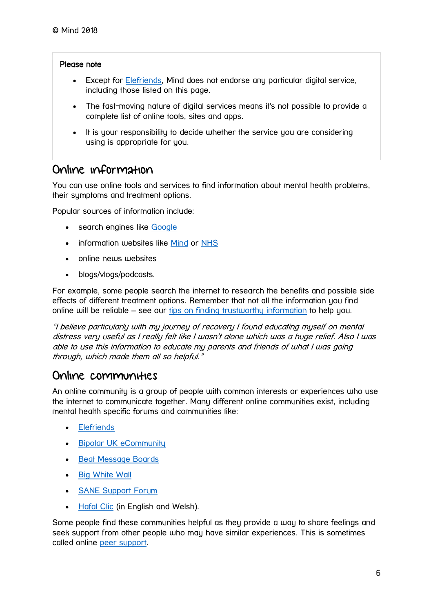#### Please note

- Except for [Elefriends,](https://www.elefriends.org.uk/) Mind does not endorse any particular digital service, including those listed on this page.
- The fast-moving nature of digital services means it's not possible to provide a complete list of online tools, sites and apps.
- It is your responsibility to decide whether the service you are considering using is appropriate for you.

### Online information

You can use online tools and services to find information about mental health problems, their symptoms and treatment options.

Popular sources of information include:

- search engines like [Google](https://www.google.co.uk/)
- information websites like [Mind](https://www.mind.org.uk/) or [NHS](https://www.nhs.uk/pages/home.aspx)
- online news websites
- blogs/vlogs/podcasts.

For example, some people search the internet to research the benefits and possible side effects of different treatment options. Remember that not all the information you find online will be reliable – see our tips on [finding trustworthy information](https://www.mind.org.uk/information-support/tips-for-everyday-living/mental-health-online/about-online-mental-health/#trustworthyinfo) to help you.

"I believe particularly with my journey of recovery I found educating myself on mental distress very useful as I really felt like I wasn't alone which was a huge relief. Also I was able to use this information to educate my parents and friends of what I was going through, which made them all so helpful."

### Online communities

An online community is a group of people with common interests or experiences who use the internet to communicate together. Many different online communities exist, including mental health specific forums and communities like:

- **•** [Elefriends](https://www.elefriends.org.uk/)
- [Bipolar UK eCommunity](http://www.bigwhitewall.com/)
- **[Beat Message Boards](https://support.beateatingdisorders.org.uk/)**
- [Big White Wall](http://www.bigwhitewall.com/)
- [SANE Support Forum](http://www.sane.org.uk/what_we_do/support/supportforum)
- [Hafal Clic](https://www.hafal.org/clic/) (in Enalish and Welsh).

Some people find these communities helpful as they provide a way to share feelings and seek support from other people who may have similar experiences. This is sometimes called online [peer support.](https://www.mind.org.uk/information-support/guides-to-support-and-services/peer-support-directory/about-peer-support/)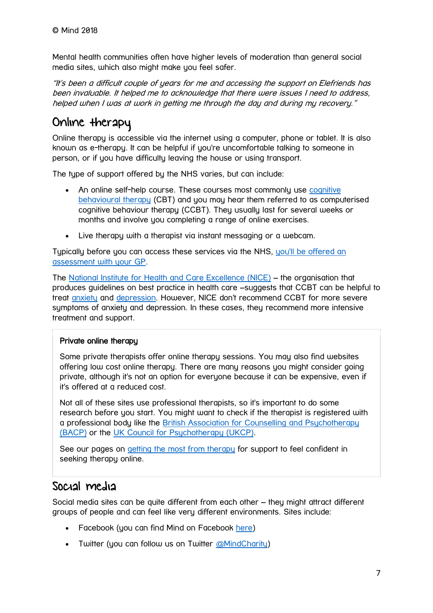Mental health communities often have higher levels of moderation than general social media sites, which also might make you feel safer.

"It's been a difficult couple of years for me and accessing the support on Elefriends has been invaluable. It helped me to acknowledge that there were issues I need to address, helped when I was at work in getting me through the day and during my recovery."

## Online therapy

Online therapy is accessible via the internet using a computer, phone or tablet. It is also known as e-therapy. It can be helpful if you're uncomfortable talking to someone in person, or if you have difficulty leaving the house or using transport.

The type of support offered by the NHS varies, but can include:

- An online self-help course. These courses most commonly use [cognitive](https://www.mind.org.uk/information-support/drugs-and-treatments/cognitive-behavioural-therapy-cbt/)  [behavioural therapy](https://www.mind.org.uk/information-support/drugs-and-treatments/cognitive-behavioural-therapy-cbt/) (CBT) and you may hear them referred to as computerised cognitive behaviour therapy (CCBT). They usually last for several weeks or months and involve you completing a range of online exercises.
- Live therapy with a therapist via instant messaging or a webcam.

Typically before you can access these services via the NHS, [you'll be offered an](https://www.mind.org.uk/information-support/guides-to-support-and-services/seeking-help-for-a-mental-health-problem/talking-to-your-gp/)  [assessment with your GP.](https://www.mind.org.uk/information-support/guides-to-support-and-services/seeking-help-for-a-mental-health-problem/talking-to-your-gp/)

The [National Institute for Health and Care Excellence \(NICE\)](https://www.nice.org.uk/) – the organisation that produces guidelines on best practice in health care –suggests that CCBT can be helpful to treat [anxiety](https://www.mind.org.uk/information-support/types-of-mental-health-problems/anxiety-and-panic-attacks/) and [depression.](https://www.mind.org.uk/information-support/types-of-mental-health-problems/depression/) However, NICE don't recommend CCBT for more severe symptoms of anxiety and depression. In these cases, they recommend more intensive treatment and support.

#### Private online therapy

Some private therapists offer online therapy sessions. You may also find websites offering low cost online therapy. There are many reasons you might consider going private, although it's not an option for everyone because it can be expensive, even if it's offered at a reduced cost.

Not all of these sites use professional therapists, so it's important to do some research before you start. You might want to check if the therapist is registered with a professional body like the [British Association for Counselling and Psychotherapy](http://www.itsgoodtotalk.org.uk/therapists/)  [\(BACP\)](http://www.itsgoodtotalk.org.uk/therapists/) or the [UK Council for Psychotherapy \(UKCP\).](https://www.psychotherapy.org.uk/)

See our pages on [getting the most from therapy](https://www.mind.org.uk/information-support/drugs-and-treatments/talking-therapy-and-counselling/getting-the-most-from-therapy/) for support to feel confident in seeking therapy online.

## Social media

Social media sites can be quite different from each other – they might attract different groups of people and can feel like very different environments. Sites include:

- Facebook (you can find Mind on Facebook [here\)](https://www.facebook.com/mindforbettermentalhealth)
- Twitter (you can follow us on Twitter [@MindCharity\)](https://twitter.com/MindCharity?ref_src=twsrc%5Egoogle%7Ctwcamp%5Eserp%7Ctwgr%5Eauthor)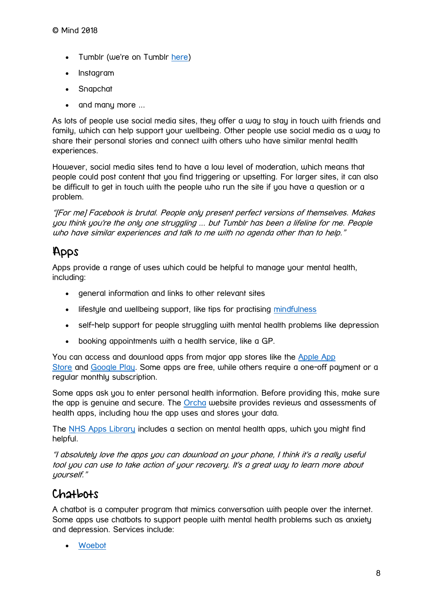- Tumblr (we're on Tumblr [here\)](http://mindcharity.tumblr.com/)
- Instagram
- Snapchat
- and many more ...

As lots of people use social media sites, they offer a way to stay in touch with friends and family, which can help support your wellbeing. Other people use social media as a way to share their personal stories and connect with others who have similar mental health experiences.

However, social media sites tend to have a low level of moderation, which means that people could post content that you find triggering or upsetting. For larger sites, it can also be difficult to get in touch with the people who run the site if you have a question or a problem.

"[For me] Facebook is brutal. People only present perfect versions of themselves. Makes you think you're the only one struggling ... but Tumblr has been a lifeline for me. People who have similar experiences and talk to me with no agenda other than to help."

## Apps

Apps provide a range of uses which could be helpful to manage your mental health, including:

- general information and links to other relevant sites
- lifestyle and wellbeing support, like tips for practising [mindfulness](https://www.mind.org.uk/information-support/drugs-and-treatments/mindfulness/)
- self-help support for people struggling with mental health problems like depression
- booking appointments with a health service, like a GP.

You can access and download apps from major app stores like the [Apple App](https://www.apple.com/uk/ios/app-store/)  [Store](https://www.apple.com/uk/ios/app-store/) and [Google Play.](https://play.google.com/store/apps?hl=en_GB) Some apps are free, while others require a one-off payment or a regular monthly subscription.

Some apps ask you to enter personal health information. Before providing this, make sure the app is genuine and secure. The [Orcha](https://www.orcha.co.uk/) website provides reviews and assessments of health apps, including how the app uses and stores your data.

The [NHS Apps Library](https://apps.beta.nhs.uk/) includes a section on mental health apps, which you might find helpful.

"I absolutely love the apps you can download on your phone, I think it's a really useful tool you can use to take action of your recovery. It's a great way to learn more about yourself."

## Chatbots

A chatbot is a computer program that mimics conversation with people over the internet. Some apps use chatbots to support people with mental health problems such as anxiety and depression. Services include:

[Woebot](https://woebot.io/)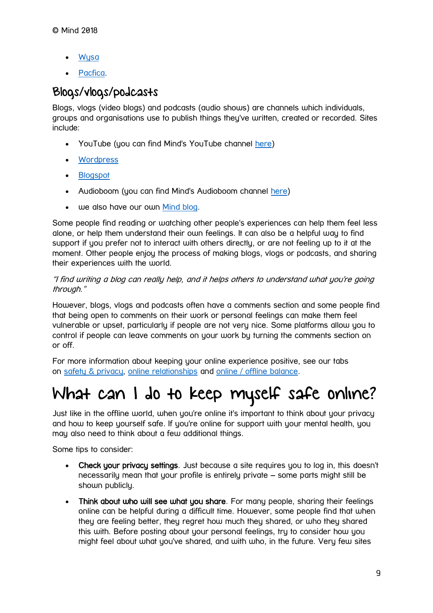- **[Wysa](https://www.wysa.io/)**
- [Pacfica.](http://www.thinkpacifica.com/)

## Blogs/vlogs/podcasts

Blogs, vlogs (video blogs) and podcasts (audio shows) are channels which individuals, groups and organisations use to publish things they've written, created or recorded. Sites include:

- YouTube (you can find Mind's YouTube channel [here\)](https://www.youtube.com/user/MindWebteam)
- [Wordpress](https://wordpress.com/)
- [Blogspot](https://bloginstructions.blogspot.co.uk/)
- Audioboom (you can find Mind's Audioboom channel [here\)](https://audioboom.com/channel/mindcharity)
- we also have our own [Mind blog.](https://www.mind.org.uk/information-support/your-stories/)

Some people find reading or watching other people's experiences can help them feel less alone, or help them understand their own feelings. It can also be a helpful way to find support if you prefer not to interact with others directly, or are not feeling up to it at the moment. Other people enjoy the process of making blogs, vlogs or podcasts, and sharing their experiences with the world.

#### "I find writing a blog can really help, and it helps others to understand what you're going through."

However, blogs, vlogs and podcasts often have a comments section and some people find that being open to comments on their work or personal feelings can make them feel vulnerable or upset, particularly if people are not very nice. Some platforms allow you to control if people can leave comments on your work by turning the comments section on or off.

For more information about keeping your online experience positive, see our tabs on [safety & privacy,](https://www.mind.org.uk/information-support/tips-for-everyday-living/online-mental-health/safety-privacy/) [online relationships](https://www.mind.org.uk/information-support/tips-for-everyday-living/online-mental-health/online-relationships/) and [online / offline balance.](https://www.mind.org.uk/information-support/tips-for-everyday-living/online-mental-health/online-offline-balance/)

# <span id="page-8-0"></span>What can I do to keep myself safe online?

Just like in the offline world, when you're online it's important to think about your privacy and how to keep yourself safe. If you're online for support with your mental health, you may also need to think about a few additional things.

Some tips to consider:

- Check your privacy settings. Just because a site requires you to log in, this doesn't necessarily mean that your profile is entirely private – some parts might still be shown publicly.
- Think about who will see what you share. For many people, sharing their feelings online can be helpful during a difficult time. However, some people find that when they are feeling better, they regret how much they shared, or who they shared this with. Before posting about your personal feelings, try to consider how you might feel about what you've shared, and with who, in the future. Very few sites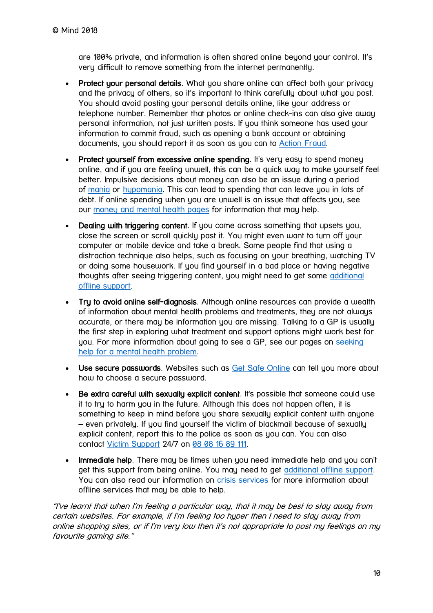are 100% private, and information is often shared online beyond your control. It's very difficult to remove something from the internet permanently.

- Protect your personal details. What you share online can affect both your privacy and the privacy of others, so it's important to think carefully about what you post. You should avoid posting your personal details online, like your address or telephone number. Remember that photos or online check-ins can also give away personal information, not just written posts. If you think someone has used your information to commit fraud, such as opening a bank account or obtaining documents, you should report it as soon as you can to [Action Fraud.](http://www.actionfraud.police.uk/)
- Protect yourself from excessive online spending. It's very easy to spend money online, and if you are feeling unwell, this can be a quick way to make yourself feel better. Impulsive decisions about money can also be an issue during a period of [mania](https://www.mind.org.uk/information-support/types-of-mental-health-problems/hypomania-and-mania/) or hupomania. This can lead to spending that can leave you in lots of debt. If online spending when you are unwell is an issue that affects you, see our [money and mental health pages](https://www.mind.org.uk/information-support/tips-for-everyday-living/money-and-mental-health/) for information that may help.
- Dealing with triggering content. If you come across something that upsets you, close the screen or scroll quickly past it. You might even want to turn off your computer or mobile device and take a break. Some people find that using a distraction technique also helps, such as focusing on your breathing, watching TV or doing some housework. If you find yourself in a bad place or having negative thoughts after seeing triggering content, you might need to get some [additional](https://www.mind.org.uk/information-support/tips-for-everyday-living/mental-health-online/about-online-mental-health/#whatofflinesupportcouldiget)  [offline support.](https://www.mind.org.uk/information-support/tips-for-everyday-living/mental-health-online/about-online-mental-health/#whatofflinesupportcouldiget)
- Try to avoid online self-diagnosis. Although online resources can provide a wealth of information about mental health problems and treatments, they are not always accurate, or there may be information you are missing. Talking to a GP is usually the first step in exploring what treatment and support options might work best for you. For more information about going to see a GP, see our pages on [seeking](https://www.mind.org.uk/information-support/helping-someone-else/supporting-someone-else-to-seek-help/)  [help for a mental health problem.](https://www.mind.org.uk/information-support/helping-someone-else/supporting-someone-else-to-seek-help/)
- Use secure passwords. Websites such as [Get Safe Online](https://www.getsafeonline.org/protecting-your-computer/passwords/) can tell you more about how to choose a secure password.
- Be extra careful with sexually explicit content. It's possible that someone could use it to try to harm you in the future. Although this does not happen often, it is something to keep in mind before you share sexually explicit content with anyone – even privately. If you find yourself the victim of blackmail because of sexually explicit content, report this to the police as soon as you can. You can also contact [Victim Support](https://www.victimsupport.org.uk/help-and-support/get-help/supportline) 24/7 on [08 08 16 89 111.](tel:%2008%2008%2016%2089%20111)
- Immediate help. There may be times when you need immediate help and you can't get this support from being online. You may need to get [additional offline support.](https://www.mind.org.uk/information-support/tips-for-everyday-living/mental-health-online/about-online-mental-health/#whatofflinesupportcouldiget) You can also read our information on [crisis services](https://www.mind.org.uk/information-support/guides-to-support-and-services/crisis-services/) for more information about offline services that may be able to help.

"I've learnt that when I'm feeling a particular way, that it may be best to stay away from certain websites. For example, if I'm feeling too hyper then I need to stay away from online shopping sites, or if I'm very low then it's not appropriate to post my feelings on my favourite gaming site."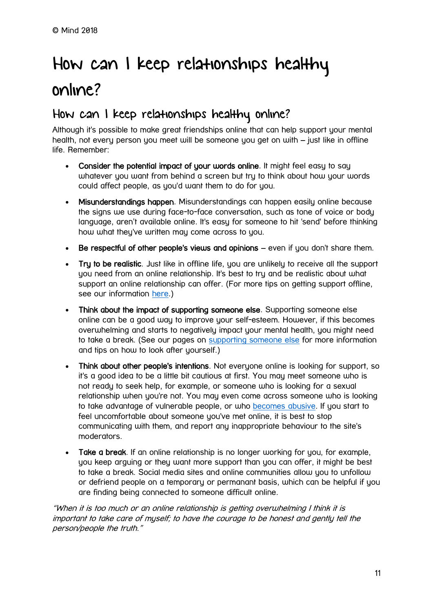# <span id="page-10-0"></span>How can I keep relationships healthy online?

## How can I keep relationships healthy online?

Although it's possible to make great friendships online that can help support your mental health, not every person you meet will be someone you get on with – just like in offline life. Remember:

- Consider the potential impact of your words online. It might feel easy to say whatever you want from behind a screen but try to think about how your words could affect people, as you'd want them to do for you.
- Misunderstandings happen. Misunderstandings can happen easily online because the signs we use during face-to-face conversation, such as tone of voice or body language, aren't available online. It's easy for someone to hit 'send' before thinking how what they've written may come across to you.
- Be respectful of other people's views and opinions even if you don't share them.
- Try to be realistic. Just like in offline life, you are unlikely to receive all the support you need from an online relationship. It's best to try and be realistic about what support an online relationship can offer. (For more tips on getting support offline, see our information [here.](https://www.mind.org.uk/information-support/tips-for-everyday-living/mental-health-online/about-online-mental-health/#whatofflinesupportcouldiget))
- Think about the impact of supporting someone else. Supporting someone else online can be a good way to improve your self-esteem. However, if this becomes overwhelming and starts to negatively impact your mental health, you might need to take a break. (See our pages on [supporting someone else](https://www.mind.org.uk/information-support/helping-someone-else/carers-friends-family-coping-support/supporting-someone-with-a-mental-health-problem/#.W5eB_-hKiUk) for more information and tips on how to look after yourself.)
- Think about other people's intentions. Not everyone online is looking for support, so it's a good idea to be a little bit cautious at first. You may meet someone who is not ready to seek help, for example, or someone who is looking for a sexual relationship when you're not. You may even come across someone who is looking to take advantage of vulnerable people, or who [becomes abusive.](https://www.mind.org.uk/information-support/tips-for-everyday-living/mental-health-online/online-relationships/#cyberbullyingandabuse) If you start to feel uncomfortable about someone you've met online, it is best to stop communicating with them, and report any inappropriate behaviour to the site's moderators.
- Take a break. If an online relationship is no longer working for you, for example, you keep arguing or they want more support than you can offer, it might be best to take a break. Social media sites and online communities allow you to unfollow or defriend people on a temporary or permanant basis, which can be helpful if you are finding being connected to someone difficult online.

"When it is too much or an online relationship is getting overwhelming I think it is important to take care of myself; to have the courage to be honest and gently tell the person/people the truth."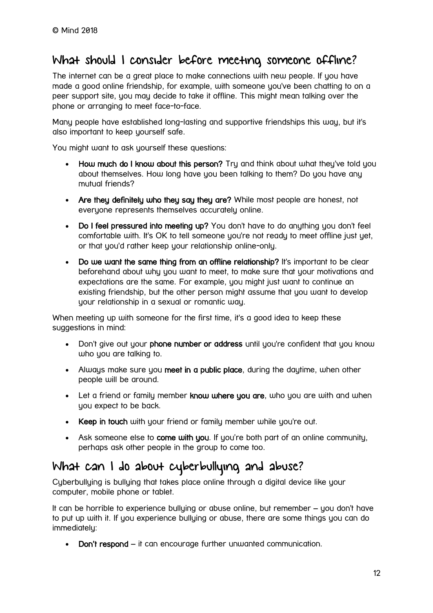## What should I consider before meeting someone offline?

The internet can be a great place to make connections with new people. If you have made a good online friendship, for example, with someone you've been chatting to on a peer support site, you may decide to take it offline. This might mean talking over the phone or arranging to meet face-to-face.

Many people have established long-lasting and supportive friendships this way, but it's also important to keep yourself safe.

You might want to ask yourself these questions:

- How much do I know about this person? Try and think about what they've told you about themselves. How long have you been talking to them? Do you have any mutual friends?
- Are they definitely who they say they are? While most people are honest, not everyone represents themselves accurately online.
- Do I feel pressured into meeting up? You don't have to do anything you don't feel comfortable with. It's OK to tell someone you're not ready to meet offline just yet, or that you'd rather keep your relationship online-only.
- Do we want the same thing from an offline relationship? It's important to be clear beforehand about why you want to meet, to make sure that your motivations and expectations are the same. For example, you might just want to continue an existing friendship, but the other person might assume that you want to develop your relationship in a sexual or romantic way.

When meeting up with someone for the first time, it's a good idea to keep these suggestions in mind:

- Don't give out your phone number or address until you're confident that you know who you are talking to.
- Always make sure you meet in a public place, during the daytime, when other people will be around.
- Let a friend or family member know where you are, who you are with and when you expect to be back.
- Keep in touch with your friend or family member while you're out.
- Ask someone else to come with you. If you're both part of an online community, perhaps ask other people in the group to come too.

## What can I do about cyberbullying and abuse?

Cuberbulluing is bulluing that takes place online through a digital device like your computer, mobile phone or tablet.

It can be horrible to experience bulluing or abuse online, but remember – you don't have to put up with it. If you experience bullying or abuse, there are some things you can do immediately:

• Don't respond – it can encourage further unwanted communication.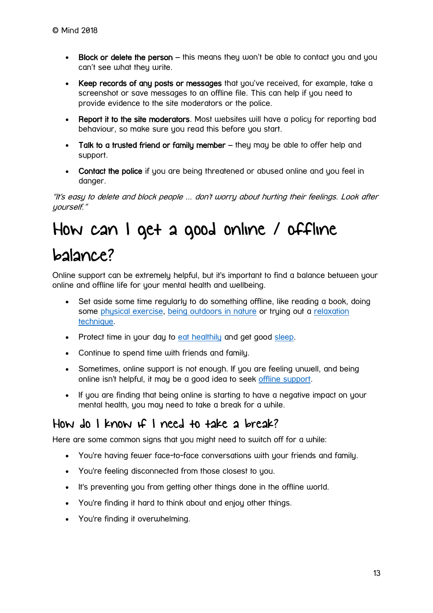- Block or delete the person this means they won't be able to contact you and you can't see what they write.
- Keep records of any posts or messages that you've received, for example, take a screenshot or save messages to an offline file. This can help if you need to provide evidence to the site moderators or the police.
- Report it to the site moderators. Most websites will have a policy for reportina bad behaviour, so make sure you read this before you start.
- Talk to a trusted friend or family member they may be able to offer help and support.
- Contact the police if you are being threatened or abused online and you feel in danger.

"It's easy to delete and block people ... don't worry about hurting their feelings. Look after yourself."

# <span id="page-12-0"></span>How can I get a good online / offline

## balance?

Online support can be extremely helpful, but it's important to find a balance between your online and offline life for your mental health and wellbeing.

- Set aside some time regularly to do something offline, like reading a book, doing some [physical exercise,](https://www.mind.org.uk/information-support/tips-for-everyday-living/physical-activity-and-your-mental-health/) [being outdoors in nature](https://www.mind.org.uk/information-support/tips-for-everyday-living/nature-and-mental-health/ideas-to-try-in-nature/) or trying out a relaxation [technique.](https://www.mind.org.uk/information-support/tips-for-everyday-living/relaxation/)
- Protect time in your day to [eat healthily](https://www.mind.org.uk/information-support/tips-for-everyday-living/food-and-mood/) and get good [sleep.](https://www.mind.org.uk/information-support/types-of-mental-health-problems/sleep-problems/)
- Continue to spend time with friends and family.
- Sometimes, online support is not enough. If you are feeling unwell, and being online isn't helpful, it may be a good idea to seek [offline support.](https://www.mind.org.uk/information-support/tips-for-everyday-living/mental-health-online/about-online-mental-health/#whatofflinesupportcouldiget)
- If you are finding that being online is starting to have a negative impact on your mental health, you may need to take a break for a while.

## How do I know if I need to take a break?

Here are some common signs that you might need to switch off for a while:

- You're having fewer face-to-face conversations with your friends and family.
- You're feeling disconnected from those closest to you.
- It's preventing you from getting other things done in the offline world.
- You're finding it hard to think about and enjoy other things.
- You're finding it overwhelming.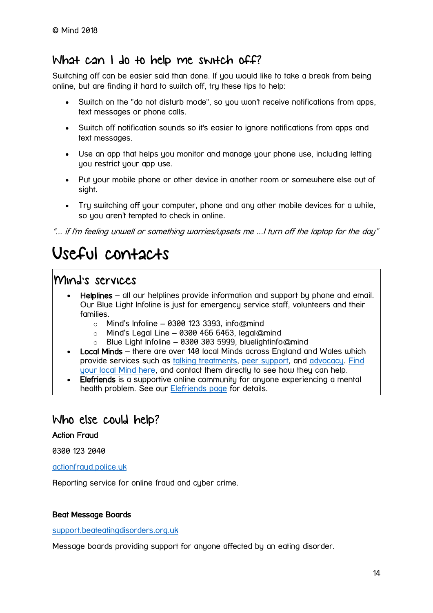## What can I do to help me switch off?

Switching off can be easier said than done. If you would like to take a break from being online, but are finding it hard to switch off, try these tips to help:

- Switch on the "do not disturb mode", so you won't receive notifications from apps, text messages or phone calls.
- Switch off notification sounds so it's easier to ignore notifications from apps and text messages.
- Use an app that helps you monitor and manage your phone use, including letting you restrict your app use.
- Put your mobile phone or other device in another room or somewhere else out of sight.
- Try switching off your computer, phone and any other mobile devices for a while, so you aren't tempted to check in online.

"... if I'm feeling unwell or something worries/upsets me ...I turn off the laptop for the day"

# <span id="page-13-0"></span>Useful contacts

### Mind's services

- Helplines all our helplines provide information and support by phone and email. Our Blue Light Infoline is just for emergency service staff, volunteers and their families.
	- $\circ$  Mind's Infoline 0300 123 3393, info@mind
	- $\circ$  Mind's Legal Line 0300 466 6463, legal@mind
	- o Blue Light Infoline 0300 303 5999, bluelightinfo@mind
- Local Minds there are over 140 local Minds across England and Wales which provide services such as [talking treatments,](https://www.mind.org.uk/information-support/drugs-and-treatments/talking-treatments/) [peer support,](https://www.mind.org.uk/information-support/drugs-and-treatments/peer-support/) and [advocacy.](https://www.mind.org.uk/information-support/guides-to-support-and-services/advocacy/) [Find](https://www.mind.org.uk/information-support/local-minds/)  [your local Mind here,](https://www.mind.org.uk/information-support/local-minds/) and contact them directly to see how they can help.
- Elefriends is a supportive online community for anyone experiencing a mental health problem. See our [Elefriends page](https://www.mind.org.uk/elefriends/) for details.

## Who else could help?

#### Action Fraud

0300 123 2040

[actionfraud.police.uk](http://www.actionfraud.police.uk/)

Reporting service for online fraud and cyber crime.

#### Beat Message Boards

#### [support.beateatingdisorders.org.uk](https://support.beateatingdisorders.org.uk/)

Message boards providing support for anyone affected by an eating disorder.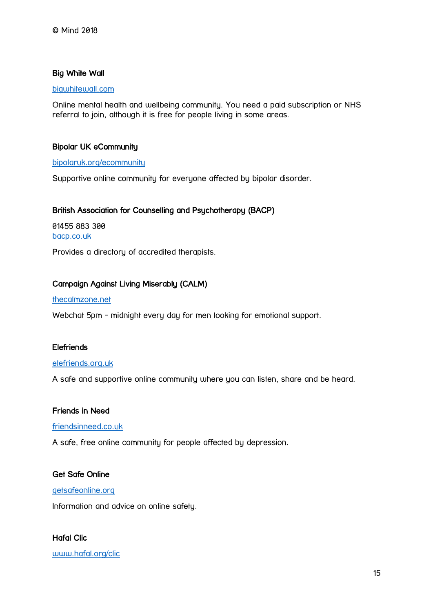#### Big White Wall

#### [bigwhitewall.com](http://www.bigwhitewall.com/)

Online mental health and wellbeing community. You need a paid subscription or NHS referral to join, although it is free for people living in some areas.

#### Bipolar UK eCommunity

#### [bipolaruk.org/ecommunity](https://www.bipolaruk.org/ecommunity)

Supportive online community for everyone affected by bipolar disorder.

#### British Association for Counselling and Psychotherapy (BACP)

01455 883 300 [bacp.co.uk](https://www.bacp.co.uk/)

Provides a directory of accredited therapists.

#### Campaign Against Living Miserably (CALM)

#### [thecalmzone.net](https://thecalmzone.net/)

Webchat 5pm - midnight every day for men looking for emotional support.

#### **Elefriends**

#### [elefriends.org.uk](https://www.elefriends.org.uk/)

A safe and supportive online community where you can listen, share and be heard.

#### Friends in Need

#### [friendsinneed.co.uk](https://friendsinneed.co.uk/)

A safe, free online community for people affected by depression.

#### Get Safe Online

#### [getsafeonline.org](https://getsafeonline.org/)

Information and advice on online safety.

Hafal Clic [www.hafal.org/clic](http://www.hafal.org/clic/)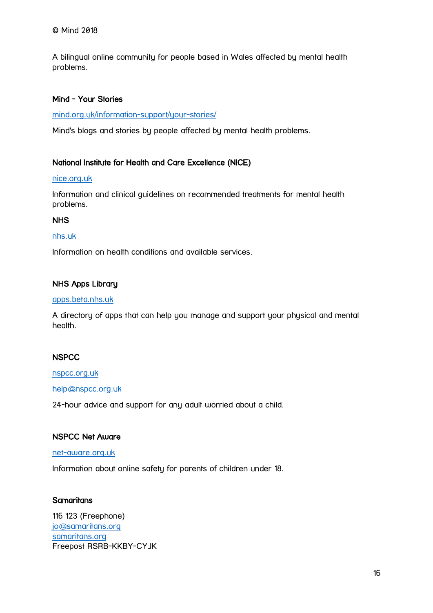A bilingual online community for people based in Wales affected by mental health problems.

#### Mind - Your Stories

[mind.org.uk/information-support/your-stories/](https://www.mind.org.uk/information-support/your-stories/)

Mind's blogs and stories by people affected by mental health problems.

#### National Institute for Health and Care Excellence (NICE)

#### [nice.org.uk](https://www.nice.org.uk/)

Information and clinical guidelines on recommended treatments for mental health problems.

#### NHS

#### [nhs.uk](http://www.nhs.uk/Pages/HomePage.aspx)

Information on health conditions and available services.

#### NHS Apps Library

#### [apps.beta.nhs.uk](https://apps.beta.nhs.uk/)

A directory of apps that can help you manage and support your physical and mental health.

#### **NSPCC**

#### [nspcc.org.uk](https://www.nspcc.org.uk/)

#### [help@nspcc.org.uk](mailto:help@nspcc.org.uk)

24-hour advice and support for any adult worried about a child.

#### NSPCC Net Aware

#### [net-aware.org.uk](https://www.net-aware.org.uk/)

Information about online safety for parents of children under 18.

#### **Samaritans**

116 123 (Freephone[\)](mailto:jo@samaritans.org) [jo@samaritans.org](mailto:jo@samaritans.org) [samaritans.org](http://www.samaritans.org/) Freepost RSRB-KKBY-CYJK